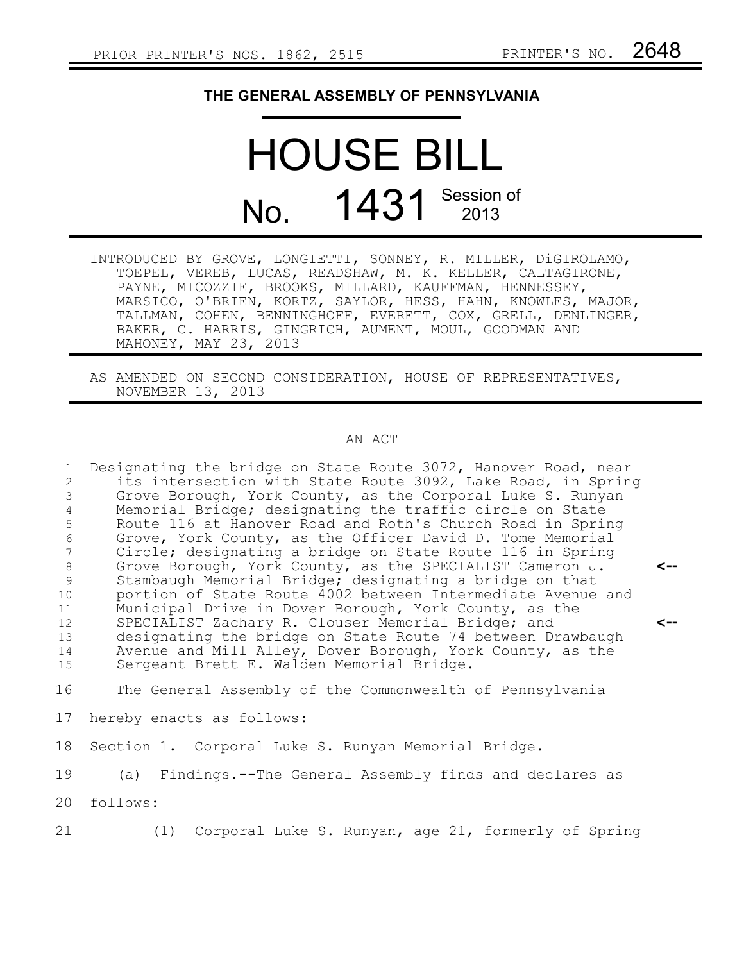## **THE GENERAL ASSEMBLY OF PENNSYLVANIA**

## HOUSE BILL No. 1431 Session of

- INTRODUCED BY GROVE, LONGIETTI, SONNEY, R. MILLER, DiGIROLAMO, TOEPEL, VEREB, LUCAS, READSHAW, M. K. KELLER, CALTAGIRONE, PAYNE, MICOZZIE, BROOKS, MILLARD, KAUFFMAN, HENNESSEY, MARSICO, O'BRIEN, KORTZ, SAYLOR, HESS, HAHN, KNOWLES, MAJOR, TALLMAN, COHEN, BENNINGHOFF, EVERETT, COX, GRELL, DENLINGER, BAKER, C. HARRIS, GINGRICH, AUMENT, MOUL, GOODMAN AND MAHONEY, MAY 23, 2013
- AS AMENDED ON SECOND CONSIDERATION, HOUSE OF REPRESENTATIVES, NOVEMBER 13, 2013

## AN ACT

Designating the bridge on State Route 3072, Hanover Road, near its intersection with State Route 3092, Lake Road, in Spring Grove Borough, York County, as the Corporal Luke S. Runyan Memorial Bridge; designating the traffic circle on State Route 116 at Hanover Road and Roth's Church Road in Spring Grove, York County, as the Officer David D. Tome Memorial Circle; designating a bridge on State Route 116 in Spring Grove Borough, York County, as the SPECIALIST Cameron J. Stambaugh Memorial Bridge; designating a bridge on that portion of State Route 4002 between Intermediate Avenue and Municipal Drive in Dover Borough, York County, as the SPECIALIST Zachary R. Clouser Memorial Bridge; and designating the bridge on State Route 74 between Drawbaugh Avenue and Mill Alley, Dover Borough, York County, as the Sergeant Brett E. Walden Memorial Bridge. **<-- <--** 1 2 3 4 5 6 7 8 9 10 11 12 13 14 15

The General Assembly of the Commonwealth of Pennsylvania 16

hereby enacts as follows: 17

Section 1. Corporal Luke S. Runyan Memorial Bridge. 18

(a) Findings.--The General Assembly finds and declares as 19

follows: 20

(1) Corporal Luke S. Runyan, age 21, formerly of Spring 21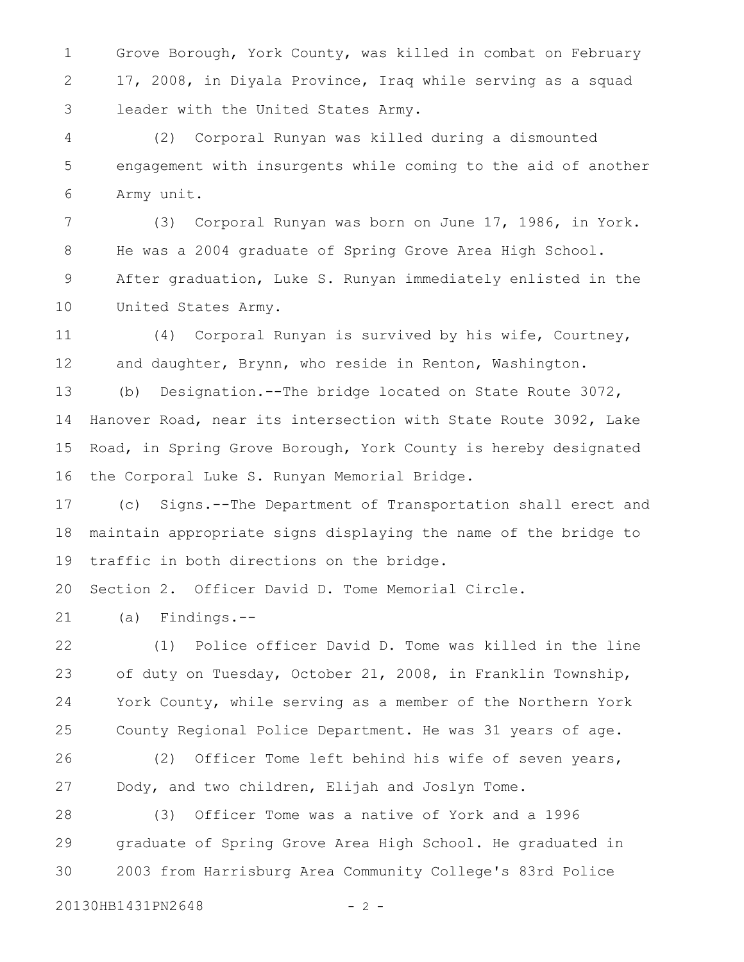Grove Borough, York County, was killed in combat on February 17, 2008, in Diyala Province, Iraq while serving as a squad leader with the United States Army. 1 2 3

(2) Corporal Runyan was killed during a dismounted engagement with insurgents while coming to the aid of another Army unit. 4 5 6

(3) Corporal Runyan was born on June 17, 1986, in York. He was a 2004 graduate of Spring Grove Area High School. After graduation, Luke S. Runyan immediately enlisted in the United States Army. 7 8 9 10

(4) Corporal Runyan is survived by his wife, Courtney, and daughter, Brynn, who reside in Renton, Washington. 11 12

(b) Designation.--The bridge located on State Route 3072, Hanover Road, near its intersection with State Route 3092, Lake Road, in Spring Grove Borough, York County is hereby designated the Corporal Luke S. Runyan Memorial Bridge. 13 14 15 16

(c) Signs.--The Department of Transportation shall erect and maintain appropriate signs displaying the name of the bridge to traffic in both directions on the bridge. 17 18 19

Section 2. Officer David D. Tome Memorial Circle. 20

(a) Findings.-- 21

(1) Police officer David D. Tome was killed in the line of duty on Tuesday, October 21, 2008, in Franklin Township, York County, while serving as a member of the Northern York County Regional Police Department. He was 31 years of age. 22 23 24 25

(2) Officer Tome left behind his wife of seven years, Dody, and two children, Elijah and Joslyn Tome. 26 27

(3) Officer Tome was a native of York and a 1996 graduate of Spring Grove Area High School. He graduated in 2003 from Harrisburg Area Community College's 83rd Police 28 29 30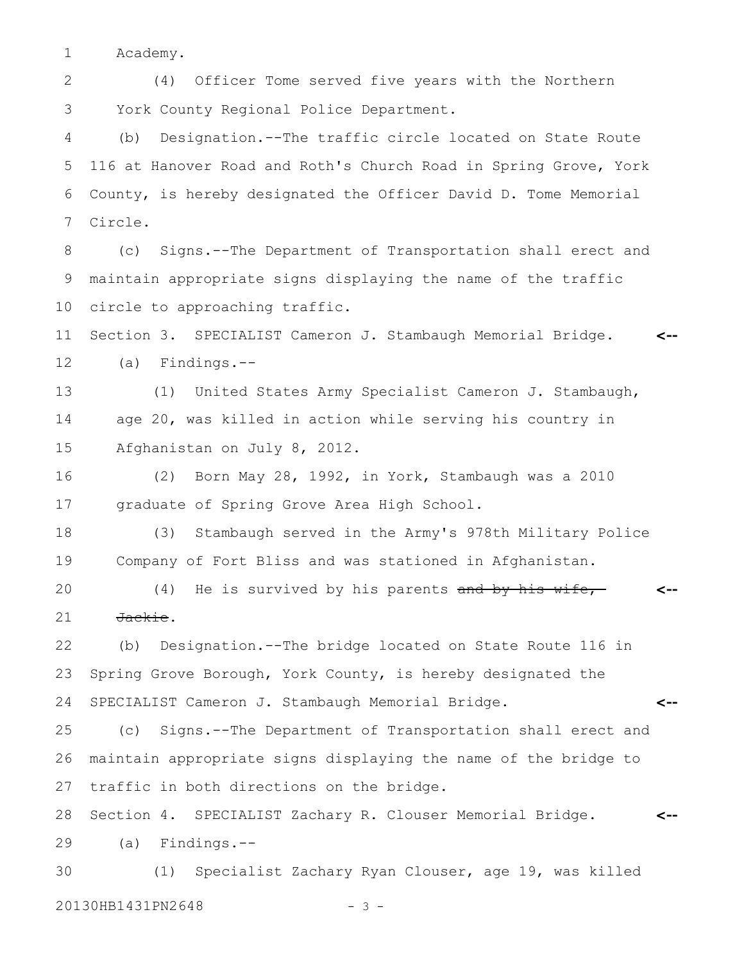Academy. 1

(4) Officer Tome served five years with the Northern York County Regional Police Department. 2 3

(b) Designation.--The traffic circle located on State Route 116 at Hanover Road and Roth's Church Road in Spring Grove, York County, is hereby designated the Officer David D. Tome Memorial Circle. 4 5 6 7

(c) Signs.--The Department of Transportation shall erect and maintain appropriate signs displaying the name of the traffic circle to approaching traffic. 8 9 10

Section 3. SPECIALIST Cameron J. Stambaugh Memorial Bridge. (a) Findings.-- **<--** 11 12

(1) United States Army Specialist Cameron J. Stambaugh, age 20, was killed in action while serving his country in Afghanistan on July 8, 2012. 13 14 15

(2) Born May 28, 1992, in York, Stambaugh was a 2010 graduate of Spring Grove Area High School. 16 17

(3) Stambaugh served in the Army's 978th Military Police Company of Fort Bliss and was stationed in Afghanistan. 18 19

(4) He is survived by his parents and by his wife, Jackie. **<--** 20 21

**<--**

(b) Designation.--The bridge located on State Route 116 in Spring Grove Borough, York County, is hereby designated the SPECIALIST Cameron J. Stambaugh Memorial Bridge. 22 23 24

(c) Signs.--The Department of Transportation shall erect and maintain appropriate signs displaying the name of the bridge to traffic in both directions on the bridge. 25 26 27

Section 4. SPECIALIST Zachary R. Clouser Memorial Bridge. (a) Findings.-- **<--** 28 29

(1) Specialist Zachary Ryan Clouser, age 19, was killed 20130HB1431PN2648 - 3 -30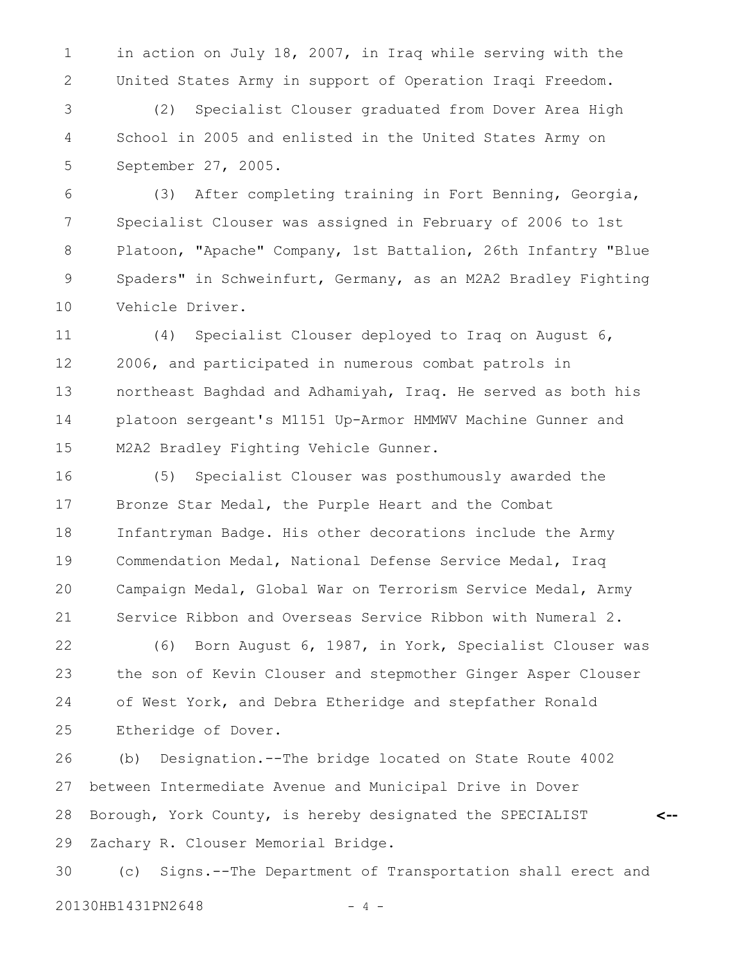in action on July 18, 2007, in Iraq while serving with the United States Army in support of Operation Iraqi Freedom. 1 2

(2) Specialist Clouser graduated from Dover Area High School in 2005 and enlisted in the United States Army on September 27, 2005. 3 4 5

(3) After completing training in Fort Benning, Georgia, Specialist Clouser was assigned in February of 2006 to 1st Platoon, "Apache" Company, 1st Battalion, 26th Infantry "Blue Spaders" in Schweinfurt, Germany, as an M2A2 Bradley Fighting Vehicle Driver. 6 7 8 9 10

(4) Specialist Clouser deployed to Iraq on August 6, 2006, and participated in numerous combat patrols in northeast Baghdad and Adhamiyah, Iraq. He served as both his platoon sergeant's M1151 Up-Armor HMMWV Machine Gunner and M2A2 Bradley Fighting Vehicle Gunner. 11 12 13 14 15

(5) Specialist Clouser was posthumously awarded the Bronze Star Medal, the Purple Heart and the Combat Infantryman Badge. His other decorations include the Army Commendation Medal, National Defense Service Medal, Iraq Campaign Medal, Global War on Terrorism Service Medal, Army Service Ribbon and Overseas Service Ribbon with Numeral 2. 16 17 18 19 20 21

(6) Born August 6, 1987, in York, Specialist Clouser was the son of Kevin Clouser and stepmother Ginger Asper Clouser of West York, and Debra Etheridge and stepfather Ronald Etheridge of Dover. 22 23 24 25

(b) Designation.--The bridge located on State Route 4002 between Intermediate Avenue and Municipal Drive in Dover Borough, York County, is hereby designated the SPECIALIST Zachary R. Clouser Memorial Bridge. 26 27 28 29

**<--**

(c) Signs.--The Department of Transportation shall erect and 20130HB1431PN2648 - 4 -30